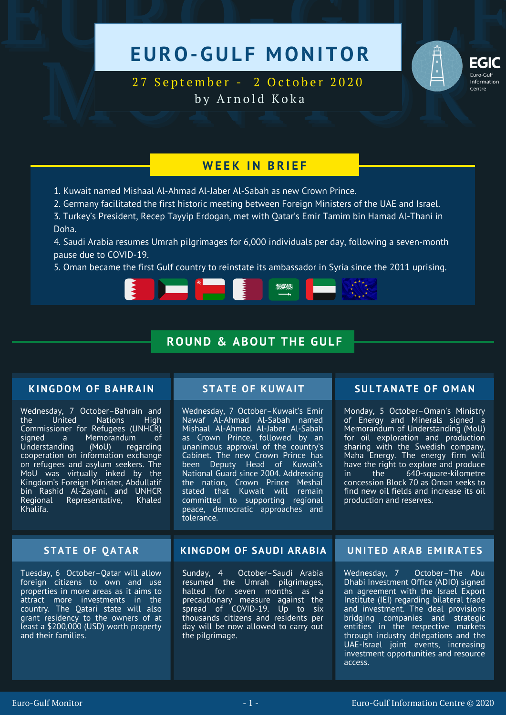# EURO-GULF MONITOR



EGIC<br>
27 September - 2 October 2020<br>
by Arnold Koka 27 September - 2 October 2020 by Arnold Koka

## **W E E K I N B R I E F**

1. Kuwait named Mishaal Al-Ahmad Al-Jaber Al-Sabah as new Crown Prince.

2. Germany facilitated the first historic meeting between Foreign Ministers of the UAE and Israel.

3. Turkey's President, Recep Tayyip Erdogan, met with Qatar's Emir Tamim bin Hamad Al-Thani in Doha.

4. Saudi Arabia resumes Umrah pilgrimages for 6,000 individuals per day, following a seven-month pause due to COVID-19.

5. Oman became the first Gulf country to reinstate its ambassador in Syria since the 2011 uprising.

海洋加州

# **ROUND & ABOUT THE GULF**

## **KINGDOM OF BAHRAIN**

Wednesday, 7 October–Bahrain and **Nations** Commissioner for Refugees (UNHCR)<br>signed a \_\_ Memorandum \_\_ of signed a Memorandum<br>
Understanding (MoU) reg (MoU) regarding cooperation on information exchange on refugees and asylum seekers. The MoU was virtually inked by the Kingdom's Foreign Minister, Abdullatif bin Rashid Al-Zayani, and UNHCR Representative, Khalifa.

Tuesday, 6 October–Qatar will allow foreign citizens to own and use properties in more areas as it aims to attract more investments in the country. The Qatari state will also grant residency to the owners of at least a \$200,000 (USD) worth property and their families.

Wednesday, 7 October–Kuwait's Emir Nawaf Al-Ahmad Al-Sabah named Mishaal Al-Ahmad Al-Jaber Al-Sabah as Crown Prince, followed by an unanimous approval of the country's Cabinet. The new Crown Prince has been Deputy Head of Kuwait's National Guard since 2004. Addressing the nation, Crown Prince Meshal stated that Kuwait will remain committed to supporting regional peace, democratic approaches and tolerance.

## **STATE OF KUWAIT SULTANATE OF O M AN**

Monday, 5 October–Oman's Ministry of Energy and Minerals signed a Memorandum of Understanding (MoU) for oil exploration and production sharing with the Swedish company, Maha Energy. The energy firm will have the right to explore and produce in the 640-square-kilometre concession Block 70 as Oman seeks to find new oil fields and increase its oil production and reserves.

### **STATE OF QATAR KINGDOM OF SAUDI ARABIA UNITED ARAB E M IRATE S**

Sunday, 4 October–Saudi Arabia resumed the Umrah pilgrimages, halted for seven months as a precautionary measure against the spread of COVID-19. Up to six thousands citizens and residents per day will be now allowed to carry out the pilgrimage.

Wednesday, 7 October–The Abu Dhabi Investment Office (ADIO) signed an agreement with the Israel Export Institute (IEI) regarding bilateral trade and investment. The deal provisions bridging companies and strategic entities in the respective markets through industry delegations and the UAE-Israel joint events, increasing investment opportunities and resource access.